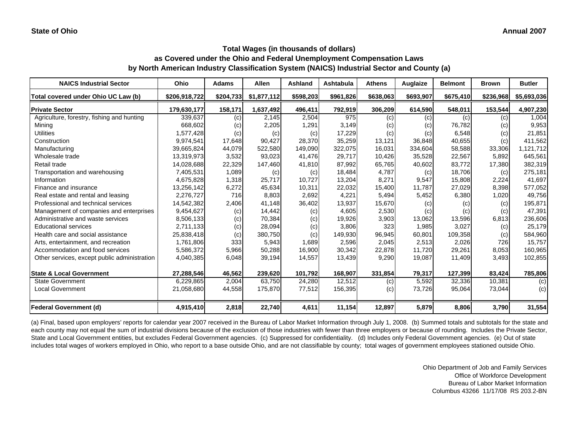#### **Total Wages (in thousands of dollars)**

**as Covered under the Ohio and Federal Unemployment Compensation Laws by North American Industry Classification System (NAICS) Industrial Sector and County (a)**

| <b>NAICS Industrial Sector</b>               | Ohio          | <b>Adams</b> | <b>Allen</b> | Ashland   | Ashtabula | <b>Athens</b> | Auglaize  | <b>Belmont</b> | <b>Brown</b> | <b>Butler</b> |
|----------------------------------------------|---------------|--------------|--------------|-----------|-----------|---------------|-----------|----------------|--------------|---------------|
| Total covered under Ohio UC Law (b)          | \$206,918,722 | \$204,733    | \$1,877,112  | \$598,203 | \$961,826 | \$638,063     | \$693,907 | \$675,410      | \$236,968    | \$5,693,036   |
| <b>Private Sector</b>                        | 179,630,177   | 158,171      | 1,637,492    | 496,411   | 792,919   | 306,209       | 614,590   | 548,011        | 153,544      | 4,907,230     |
| Agriculture, forestry, fishing and hunting   | 339,637       | (c)          | 2,145        | 2,504     | 975       | (c)           | (c)       | (c)            | (c)          | 1,004         |
| Mining                                       | 668,602       | (c)          | 2,205        | 1,291     | 3,149     | (c)           | (c)       | 76,782         | (c)          | 9,953         |
| <b>Utilities</b>                             | 1,577,428     | (c)          | (c)          | (c)       | 17,229    | (c)           | (c)       | 6,548          | (c)          | 21,851        |
| Construction                                 | 9,974,541     | 17,648       | 90,427       | 28,370    | 35,259    | 13,121        | 36,848    | 40,655         | (c)          | 411,562       |
| Manufacturing                                | 39,665,824    | 44,079       | 522,580      | 149,090   | 322,075   | 16,031        | 334,604   | 58,588         | 33,306       | 1,121,712     |
| Wholesale trade                              | 13,319,973    | 3,532        | 93,023       | 41.476    | 29.717    | 10,426        | 35,528    | 22,567         | 5,892        | 645,561       |
| Retail trade                                 | 14,028,688    | 22,329       | 147,460      | 41,810    | 87,992    | 65,765        | 40,602    | 83,772         | 17,380       | 382,319       |
| Transportation and warehousing               | 7,405,531     | 1,089        | (c)          | (c)       | 18.484    | 4.787         | (c)       | 18,706         | (c)          | 275,181       |
| Information                                  | 4,675,828     | 1,318        | 25,717       | 10,727    | 13,204    | 8,271         | 9,547     | 15,808         | 2,224        | 41,697        |
| Finance and insurance                        | 13,256,142    | 6,272        | 45,634       | 10,311    | 22,032    | 15,400        | 11.787    | 27,029         | 8,398        | 577,052       |
| Real estate and rental and leasing           | 2,276,727     | 716          | 8,803        | 2,692     | 4,221     | 5,494         | 5,452     | 6,380          | 1,020        | 49,756        |
| Professional and technical services          | 14,542,382    | 2,406        | 41,148       | 36,402    | 13,937    | 15,670        | (c)       | (c)            | (c)          | 195,871       |
| Management of companies and enterprises      | 9,454,627     | (c)          | 14,442       | (c)       | 4,605     | 2,530         | (c)       | (c)            | (c)          | 47,391        |
| Administrative and waste services            | 8,506,133     | (c)          | 70,384       | (c)       | 19,926    | 3,903         | 13,062    | 13,596         | 6,813        | 236,606       |
| <b>Educational services</b>                  | 2,711,133     | (c)          | 28,094       | (c)       | 3,806     | 323           | 1,985     | 3,027          | (c)          | 25,179        |
| Health care and social assistance            | 25,838,418    | (c)          | 380,750      | (c)       | 149,930   | 96,945        | 60,801    | 109,358        | (c)          | 584,960       |
| Arts, entertainment, and recreation          | 1,761,806     | 333          | 5,943        | 1,689     | 2,596     | 2,045         | 2,513     | 2,026          | 726          | 15,757        |
| Accommodation and food services              | 5,586,372     | 5,966        | 50,288       | 16,900    | 30,342    | 22,878        | 11,720    | 29,261         | 8,053        | 160,965       |
| Other services, except public administration | 4,040,385     | 6,048        | 39,194       | 14,557    | 13,439    | 9,290         | 19,087    | 11,409         | 3,493        | 102,855       |
| <b>State &amp; Local Government</b>          | 27,288,546    | 46,562       | 239,620      | 101,792   | 168,907   | 331,854       | 79,317    | 127,399        | 83,424       | 785,806       |
| <b>State Government</b>                      | 6,229,865     | 2,004        | 63,750       | 24,280    | 12,512    | (c)           | 5,592     | 32,336         | 10,381       | (c)           |
| <b>Local Government</b>                      | 21,058,680    | 44,558       | 175,870      | 77,512    | 156,395   | (c)           | 73,726    | 95,064         | 73,044       | (c)           |
| <b>Federal Government (d)</b>                | 4,915,410     | 2,818        | 22,740       | 4,611     | 11,154    | 12,897        | 5,879     | 8,806          | 3,790        | 31,554        |

(a) Final, based upon employers' reports for calendar year 2007 received in the Bureau of Labor Market Information through July 1, 2008. (b) Summed totals and subtotals for the state and each county may not equal the sum of industrial divisions because of the exclusion of those industries with fewer than three employers or because of rounding. Includes the Private Sector, State and Local Government entities, but excludes Federal Government agencies. (c) Suppressed for confidentiality. (d) Includes only Federal Government agencies. (e) Out of state includes total wages of workers employed in Ohio, who report to a base outside Ohio, and are not classifiable by county; total wages of government employees stationed outside Ohio.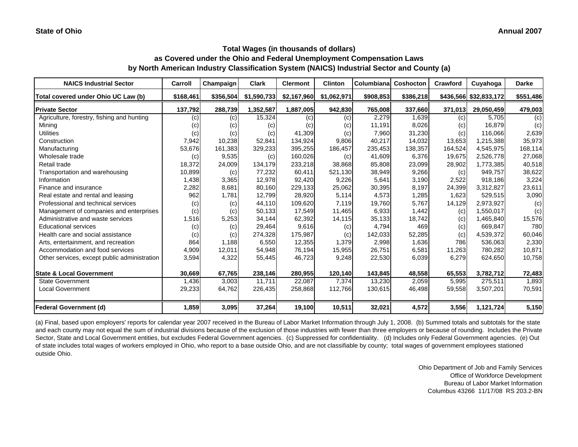| <b>NAICS Industrial Sector</b>               | Carroll   | Champaign | <b>Clark</b> | <b>Clermont</b> | <b>Clinton</b> | Columbianal | Coshocton | Crawford | Cuyahoga               | <b>Darke</b> |
|----------------------------------------------|-----------|-----------|--------------|-----------------|----------------|-------------|-----------|----------|------------------------|--------------|
| Total covered under Ohio UC Law (b)          | \$168,461 | \$356.504 | \$1,590,733  | \$2,167,960     | \$1,062,971    | \$908,853   | \$386,218 |          | \$436,566 \$32,833,172 | \$551,486    |
| <b>Private Sector</b>                        | 137,792   | 288,739   | 1,352,587    | 1,887,005       | 942,830        | 765,008     | 337,660   | 371,013  | 29,050,459             | 479,003      |
| Agriculture, forestry, fishing and hunting   | (c)       | (c)       | 15,324       | (c)             | (c)            | 2,279       | 1,639     | (c)      | 5,705                  | (c)          |
| Mining                                       | (c)       | (c)       | (c)          | (c)             | (c)            | 11,191      | 8,026     | (c)      | 16,879                 | (c)          |
| <b>Utilities</b>                             | (c)       | (c)       | (c)          | 41,309          | (c)            | 7,960       | 31,230    | (c)      | 116,066                | 2,639        |
| Construction                                 | 7,942     | 10,238    | 52,841       | 134,924         | 9,806          | 40,217      | 14,032    | 13,653   | 1,215,388              | 35,973       |
| Manufacturing                                | 53,676    | 161,383   | 329,233      | 395,255         | 186,457        | 235,453     | 138,357   | 164,524  | 4,545,975              | 168,114      |
| Wholesale trade                              | (c)       | 9,535     | (c)          | 160,026         | (c)            | 41,609      | 6,376     | 19,675   | 2,526,778              | 27,068       |
| Retail trade                                 | 18,372    | 24,009    | 134,179      | 233,218         | 38,868         | 85,808      | 23,099    | 28,902   | 1,773,385              | 40,518       |
| Transportation and warehousing               | 10,899    | (c)       | 77,232       | 60,411          | 521,130        | 38,949      | 9,266     | (c)      | 949,757                | 38,622       |
| Information                                  | 1,438     | 3,365     | 12,978       | 92,420          | 9,226          | 5,641       | 3,190     | 2,522    | 918,186                | 3,224        |
| Finance and insurance                        | 2,282     | 8,681     | 80,160       | 229,133         | 25,062         | 30,395      | 8,197     | 24,399   | 3,312,827              | 23,611       |
| Real estate and rental and leasing           | 962       | 1,781     | 12,799       | 28,920          | 5,114          | 4,573       | 1,285     | 1,623    | 529,515                | 3,090        |
| Professional and technical services          | (c)       | (c)       | 44,110       | 109,620         | 7,119          | 19,760      | 5,767     | 14,129   | 2,973,927              | (c)          |
| Management of companies and enterprises      | (c)       | (c)       | 50,133       | 17,549          | 11,465         | 6,933       | 1,442     | (c)      | 1,550,017              | (c)          |
| Administrative and waste services            | 1,516     | 5,253     | 34,144       | 62,392          | 14,115         | 35,133      | 18,742    | (c)      | 1,465,840              | 15,576       |
| <b>Educational services</b>                  | (c)       | (c)       | 29,464       | 9,616           | (c)            | 4,794       | 469       | (c)      | 669,847                | 780          |
| Health care and social assistance            | (c)       | (c)       | 274,328      | 175,987         | (c)            | 142,033     | 52,285    | (c)      | 4,539,372              | 60,046       |
| Arts, entertainment, and recreation          | 864       | 1,188     | 6,550        | 12,355          | 1,379          | 2,998       | 1,636     | 786      | 536,063                | 2,330        |
| Accommodation and food services              | 4,909     | 12,011    | 54,948       | 76,194          | 15,955         | 26,751      | 6,581     | 11,263   | 780,282                | 10,871       |
| Other services, except public administration | 3,594     | 4,322     | 55,445       | 46,723          | 9,248          | 22,530      | 6,039     | 6,279    | 624,650                | 10,758       |
| <b>State &amp; Local Government</b>          | 30,669    | 67,765    | 238,146      | 280,955         | 120,140        | 143,845     | 48,558    | 65,553   | 3,782,712              | 72,483       |
| <b>State Government</b>                      | 1,436     | 3,003     | 11.711       | 22,087          | 7,374          | 13,230      | 2,059     | 5,995    | 275,511                | 1,893        |
| <b>Local Government</b>                      | 29,233    | 64,762    | 226,435      | 258,868         | 112,766        | 130,615     | 46,498    | 59,558   | 3,507,201              | 70,591       |
| <b>Federal Government (d)</b>                | 1,859     | 3,095     | 37,264       | 19,100          | 10,511         | 32,021      | 4,572     | 3,556    | 1,121,724              | 5,150        |

(a) Final, based upon employers' reports for calendar year 2007 received in the Bureau of Labor Market Information through July 1, 2008. (b) Summed totals and subtotals for the state and each county may not equal the sum of industrial divisions because of the exclusion of those industries with fewer than three employers or because of rounding. Includes the Private Sector, State and Local Government entities, but excludes Federal Government agencies. (c) Suppressed for confidentiality. (d) Includes only Federal Government agencies. (e) Out of state includes total wages of workers employed in Ohio, who report to a base outside Ohio, and are not classifiable by county; total wages of government employees stationed outside Ohio.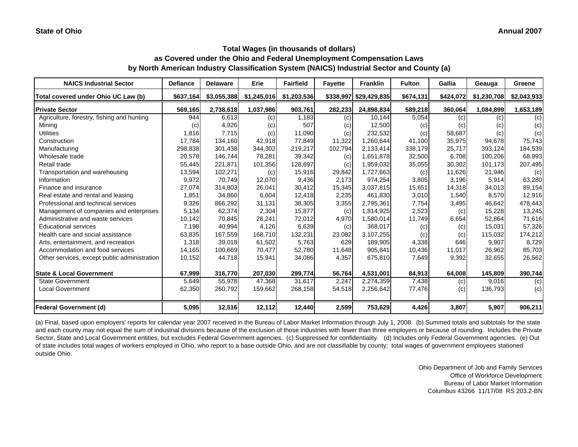| <b>NAICS Industrial Sector</b>               | <b>Defiance</b> | <b>Delaware</b> | Erie        | <b>Fairfield</b> | <b>Fayette</b> | <b>Franklin</b>        | <b>Fulton</b> | Gallia    | Geauga      | Greene      |
|----------------------------------------------|-----------------|-----------------|-------------|------------------|----------------|------------------------|---------------|-----------|-------------|-------------|
| Total covered under Ohio UC Law (b)          | \$637,164       | \$3,055,388     | \$1,245,016 | \$1,203,536      |                | \$338,997 \$29,429,835 | \$674,131     | \$424,072 | \$1,230,708 | \$2,043,933 |
| <b>Private Sector</b>                        | 569,165         | 2,738,618       | 1,037,986   | 903,761          | 282,233        | 24,898,834             | 589,218       | 360,064   | 1,084,899   | 1,653,189   |
| Agriculture, forestry, fishing and hunting   | 944             | 6,613           | (c)         | 1,183            | (c)            | 10,144                 | 5,054         | (c)       | (c)         | (c)         |
| Mining                                       | (c)             | 4,926           | (c)         | 507              | (c)            | 12,500                 | (c)           | (c)       | (c)         | (c)         |
| <b>Utilities</b>                             | 1,816           | 7,715           | (c)         | 11,090           | (c)            | 232,532                | (c)           | 58,687    | (c)         | (c)         |
| Construction                                 | 17,784          | 134,160         | 42,918      | 77,849           | 11,322         | 1,260,644              | 41,100        | 35,975    | 94.678      | 75,743      |
| Manufacturing                                | 298,838         | 301,438         | 344,302     | 219,217          | 102,794        | 2,133,414              | 338,179       | 25,717    | 393,124     | 184,539     |
| Wholesale trade                              | 20,578          | 146,744         | 78,281      | 39,342           | (c)            | 1,651,878              | 32,500        | 6,708     | 100,206     | 68,993      |
| Retail trade                                 | 55,445          | 221,871         | 101,356     | 128,697          | (c)            | 1,959,032              | 35,055        | 30,302    | 101,173     | 207,495     |
| Transportation and warehousing               | 13,594          | 102,271         | (c)         | 15,916           | 29,842         | 1,727,663              | (c)           | 11,626    | 21,946      | (c)         |
| Information                                  | 9,972           | 70,749          | 12,070      | 9,436            | 2,173          | 974,254                | 3,805         | 3,196     | 5,914       | 63,280      |
| Finance and insurance                        | 27,074          | 314,803         | 26,041      | 30,412           | 15,345         | 3,037,815              | 15,651        | 14,318    | 34,013      | 89,154      |
| Real estate and rental and leasing           | 1,851           | 34,860          | 6,604       | 12,418           | 2,235          | 461,830                | 3,010         | 1,540     | 8,570       | 12,916      |
| Professional and technical services          | 9,326           | 866,292         | 31,131      | 38,305           | 3,355          | 2,795,361              | 7,754         | 3,495     | 46.642      | 478,443     |
| Management of companies and enterprises      | 5,134           | 62,374          | 2,304       | 15,877           | (c)            | 1,814,925              | 2,523         | (c)       | 15,228      | 13,245      |
| Administrative and waste services            | 10,142          | 70,845          | 26,241      | 72,012           | 4,970          | 1,580,014              | 11,749        | 6,654     | 52,864      | 71,616      |
| <b>Educational services</b>                  | 7,198           | 40,994          | 4,126       | 6,639            | (c)            | 368,017                | (c)           | (c)       | 15,031      | 57,326      |
| Health care and social assistance            | 63,835          | 167,559         | 168,710     | 132,231          | 23,082         | 3,107,255              | (c)           | (c)       | 115,032     | 174,212     |
| Arts, entertainment, and recreation          | 1,318           | 39,018          | 61,502      | 5,763            | 629            | 189,905                | 4,338         | 646       | 9,907       | 8,729       |
| Accommodation and food services              | 14,165          | 100,669         | 70,477      | 52,780           | 11,648         | 905,841                | 10,436        | 11,017    | 26,962      | 85,703      |
| Other services, except public administration | 10,152          | 44,718          | 15,941      | 34,086           | 4,357          | 675,810                | 7,649         | 9,392     | 32,655      | 26,562      |
| <b>State &amp; Local Government</b>          | 67,999          | 316,770         | 207,030     | 299,774          | 56,764         | 4,531,001              | 84,913        | 64,008    | 145,809     | 390,744     |
| <b>State Government</b>                      | 5.649           | 55,978          | 47,368      | 31,617           | 2,247          | 2,274,359              | 7,438         | (c)       | 9,016       | (c)         |
| <b>Local Government</b>                      | 62,350          | 260,792         | 159,662     | 268,158          | 54,518         | 2,256,642              | 77,476        | (c)       | 136,793     | (c)         |
| <b>Federal Government (d)</b>                | 5,095           | 12,516          | 12,112      | 12,440           | 2,599          | 753,629                | 4,426         | 3,807     | 5,907       | 906,211     |

(a) Final, based upon employers' reports for calendar year 2007 received in the Bureau of Labor Market Information through July 1, 2008. (b) Summed totals and subtotals for the state and each county may not equal the sum of industrial divisions because of the exclusion of those industries with fewer than three employers or because of rounding. Includes the Private Sector, State and Local Government entities, but excludes Federal Government agencies. (c) Suppressed for confidentiality. (d) Includes only Federal Government agencies. (e) Out of state includes total wages of workers employed in Ohio, who report to a base outside Ohio, and are not classifiable by county; total wages of government employees stationed outside Ohio.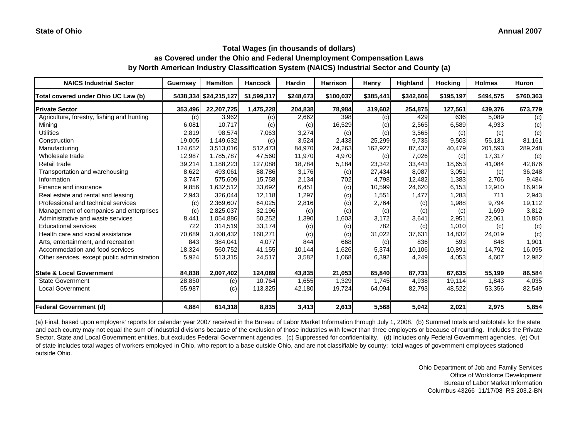#### **Annual 2007**

# **Total Wages (in thousands of dollars) as Covered under the Ohio and Federal Unemployment Compensation Laws by North American Industry Classification System (NAICS) Industrial Sector and County (a)**

| <b>NAICS Industrial Sector</b>               | Guernsey | <b>Hamilton</b>        | <b>Hancock</b> | <b>Hardin</b> | <b>Harrison</b> | Henry             | Highland  | <b>Hocking</b> | <b>Holmes</b> | <b>Huron</b> |
|----------------------------------------------|----------|------------------------|----------------|---------------|-----------------|-------------------|-----------|----------------|---------------|--------------|
| Total covered under Ohio UC Law (b)          |          | \$438,334 \$24,215,127 | \$1,599,317    | \$248,673     | \$100,037       | \$385,441         | \$342,606 | \$195,197      | \$494,575     | \$760,363    |
| <b>Private Sector</b>                        | 353,496  | 22,207,725             | 1,475,228      | 204,838       | 78,984          | 319,602           | 254,875   | 127,561        | 439,376       | 673,779      |
| Agriculture, forestry, fishing and hunting   | (c)      | 3,962                  | (c)            | 2,662         | 398             | (c)               | 429       | 636            | 5,089         | (c)          |
| Mining                                       | 6,081    | 10,717                 | (c)            | (c)           | 16,529          | (c)               | 2,565     | 6,589          | 4,933         | (c)          |
| <b>Utilities</b>                             | 2,819    | 98,574                 | 7,063          | 3,274         | (c)             | (c)               | 3,565     | (c)            | (c)           | (c)          |
| Construction                                 | 19,005   | 1,149,632              | (c)            | 3,524         | 2,433           | 25,299            | 9,735     | 9,503          | 55,131        | 81,161       |
| Manufacturing                                | 124,652  | 3,513,016              | 512,473        | 84,970        | 24,263          | 162,927           | 87,437    | 40,479         | 201,593       | 289,248      |
| Wholesale trade                              | 12,987   | 1,785,787              | 47,560         | 11,970        | 4,970           | (c)               | 7,026     | (c)            | 17,317        | (c)          |
| Retail trade                                 | 39,214   | 1,188,223              | 127,088        | 18,784        | 5,184           | 23,342            | 33,443    | 18,653         | 41,084        | 42,876       |
| Transportation and warehousing               | 8,622    | 493.061                | 88,786         | 3,176         | (c)             | 27,434            | 8,087     | 3,051          | (c)           | 36,248       |
| Information                                  | 3.747    | 575.609                | 15,758         | 2,134         | 702             | 4.798             | 12,482    | 1,383          | 2.706         | 9.484        |
| Finance and insurance                        | 9,856    | 1,632,512              | 33,692         | 6,451         | (c)             | 10,599            | 24,620    | 6.153          | 12,910        | 16,919       |
| Real estate and rental and leasing           | 2,943    | 326,044                | 12,118         | 1,297         | (c)             | 1,551             | 1,477     | 1,283          | 711           | 2,943        |
| Professional and technical services          | (c)      | 2,369,607              | 64,025         | 2,816         | (c)             | 2,764             | (c)       | 1,988          | 9,794         | 19,112       |
| Management of companies and enterprises      | (c)      | 2,825,037              | 32,196         | (c)           | (c)             | (c)               | (c)       | (c)            | 1,699         | 3,812        |
| Administrative and waste services            | 8,441    | 1,054,886              | 50,252         | 1,390         | 1,603           | 3,172             | 3,641     | 2,951          | 22,061        | 10,850       |
| <b>Educational services</b>                  | 722      | 314,519                | 33,174         | (c)           | (c)             | 782               | (c)       | 1,010          | (c)           | (c)          |
| Health care and social assistance            | 70,689   | 3,408,432              | 160,271        | (c)           | (c)             | 31,022            | 37,631    | 14,832         | 24,019        | (c)          |
| Arts, entertainment, and recreation          | 843      | 384.041                | 4,077          | 844           | 668             | $\left( c\right)$ | 836       | 593            | 848           | 1,901        |
| Accommodation and food services              | 18,324   | 560,752                | 41,155         | 10,144        | 1,626           | 5,374             | 10,106    | 10,891         | 14,792        | 16,095       |
| Other services, except public administration | 5,924    | 513,315                | 24,517         | 3,582         | 1,068           | 6,392             | 4,249     | 4,053          | 4,607         | 12,982       |
| <b>State &amp; Local Government</b>          | 84,838   | 2,007,402              | 124,089        | 43,835        | 21,053          | 65,840            | 87,731    | 67,635         | 55,199        | 86,584       |
| <b>State Government</b>                      | 28,850   | (c)                    | 10,764         | 1,655         | 1,329           | 1.745             | 4,938     | 19,114         | 1,843         | 4,035        |
| <b>Local Government</b>                      | 55,987   | (c)                    | 113,325        | 42,180        | 19,724          | 64,094            | 82,793    | 48,522         | 53,356        | 82,549       |
| <b>Federal Government (d)</b>                | 4,884    | 614,318                | 8,835          | 3,413         | 2,613           | 5,568             | 5,042     | 2,021          | 2,975         | 5,854        |

(a) Final, based upon employers' reports for calendar year 2007 received in the Bureau of Labor Market Information through July 1, 2008. (b) Summed totals and subtotals for the state and each county may not equal the sum of industrial divisions because of the exclusion of those industries with fewer than three employers or because of rounding. Includes the Private Sector, State and Local Government entities, but excludes Federal Government agencies. (c) Suppressed for confidentiality. (d) Includes only Federal Government agencies. (e) Out of state includes total wages of workers employed in Ohio, who report to a base outside Ohio, and are not classifiable by county; total wages of government employees stationed outside Ohio.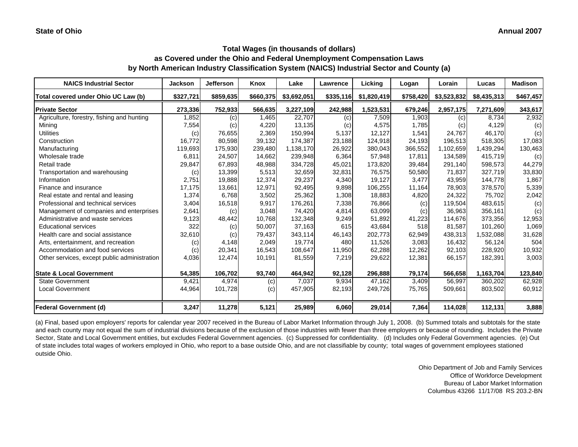| <b>NAICS Industrial Sector</b>               | <b>Jackson</b> | <b>Jefferson</b> | Knox      | Lake        | Lawrence  | Licking     | Logan     | Lorain      | Lucas       | <b>Madison</b> |
|----------------------------------------------|----------------|------------------|-----------|-------------|-----------|-------------|-----------|-------------|-------------|----------------|
| Total covered under Ohio UC Law (b)          | \$327,721      | \$859,635        | \$660,375 | \$3,692,051 | \$335,116 | \$1,820,419 | \$758,420 | \$3,523,832 | \$8,435,313 | \$467,457      |
| <b>Private Sector</b>                        | 273,336        | 752,933          | 566,635   | 3,227,109   | 242,988   | 1,523,531   | 679,246   | 2,957,175   | 7,271,609   | 343,617        |
| Agriculture, forestry, fishing and hunting   | 1,852          | (c)              | 1,465     | 22,707      | (c)       | 7,509       | 1,903     | (c)         | 8.734       | 2,932          |
| Mining                                       | 7,554          | (c)              | 4,220     | 13,135      | (c)       | 4,575       | 1,785     | (c)         | 4,129       | (c)            |
| <b>Utilities</b>                             | (c)            | 76,655           | 2,369     | 150,994     | 5,137     | 12,127      | 1,541     | 24,767      | 46,170      | (c)            |
| Construction                                 | 16,772         | 80,598           | 39,132    | 174,387     | 23,188    | 124,918     | 24,193    | 196,513     | 518,305     | 17,083         |
| Manufacturing                                | 119,693        | 175,930          | 239,480   | 1,138,170   | 26,922    | 380,043     | 366,552   | 1,102,659   | 1,439,294   | 130,463        |
| Wholesale trade                              | 6,811          | 24,507           | 14,662    | 239,948     | 6,364     | 57,948      | 17,811    | 134,589     | 415,719     | (c)            |
| Retail trade                                 | 29,847         | 67,893           | 48,988    | 334,728     | 45,021    | 173,820     | 39,484    | 291,140     | 598,573     | 44,279         |
| Transportation and warehousing               | (c)            | 13,399           | 5,513     | 32,659      | 32,831    | 76,575      | 50,580    | 71.837      | 327.719     | 33,830         |
| Information                                  | 2,751          | 19,888           | 12,374    | 29,237      | 4,340     | 19,127      | 3,477     | 43,959      | 144,778     | 1,867          |
| Finance and insurance                        | 17,175         | 13,661           | 12,971    | 92,495      | 9,898     | 106,255     | 11,164    | 78,903      | 378,570     | 5,339          |
| Real estate and rental and leasing           | 1,374          | 6,768            | 3,502     | 25,362      | 1,308     | 18,883      | 4,820     | 24,322      | 75,702      | 2,042          |
| Professional and technical services          | 3,404          | 16,518           | 9,917     | 176,261     | 7,338     | 76,866      | (c)       | 119,504     | 483,615     | (c)            |
| Management of companies and enterprises      | 2,641          | (c)              | 3,048     | 74,420      | 4,814     | 63,099      | (c)       | 36,963      | 356,161     | (c)            |
| Administrative and waste services            | 9,123          | 48,442           | 10,768    | 132,348     | 9,249     | 51,892      | 41,223    | 114,676     | 373,356     | 12,953         |
| <b>Educational services</b>                  | 322            | (c)              | 50,007    | 37,163      | 615       | 43,684      | 518       | 81,587      | 101,260     | 1,069          |
| Health care and social assistance            | 32,610         | (c)              | 79,437    | 343,114     | 46,143    | 202,773     | 62,949    | 438,313     | 1,532,088   | 31,628         |
| Arts, entertainment, and recreation          | (c)            | 4,148            | 2,049     | 19,774      | 480       | 11,526      | 3,083     | 16,432      | 56,124      | 504            |
| Accommodation and food services              | (c)            | 20,341           | 16,543    | 108,647     | 11,950    | 62,288      | 12,262    | 92,103      | 228,920     | 10,932         |
| Other services, except public administration | 4,036          | 12,474           | 10,191    | 81,559      | 7,219     | 29,622      | 12,381    | 66,157      | 182,391     | 3,003          |
| <b>State &amp; Local Government</b>          | 54,385         | 106,702          | 93,740    | 464.942     | 92,128    | 296,888     | 79,174    | 566,658     | 1.163.704   | 123,840        |
| <b>State Government</b>                      | 9,421          | 4,974            | (c)       | 7,037       | 9,934     | 47,162      | 3,409     | 56,997      | 360,202     | 62,928         |
| <b>Local Government</b>                      | 44,964         | 101,728          | (c)       | 457,905     | 82,193    | 249,726     | 75,765    | 509,661     | 803,502     | 60,912         |
|                                              |                |                  |           |             |           |             |           |             |             |                |
| <b>Federal Government (d)</b>                | 3,247          | 11,278           | 5,121     | 25,989      | 6,060     | 29,014      | 7,364     | 114,028     | 112,131     | 3,888          |

(a) Final, based upon employers' reports for calendar year 2007 received in the Bureau of Labor Market Information through July 1, 2008. (b) Summed totals and subtotals for the state and each county may not equal the sum of industrial divisions because of the exclusion of those industries with fewer than three employers or because of rounding. Includes the Private Sector, State and Local Government entities, but excludes Federal Government agencies. (c) Suppressed for confidentiality. (d) Includes only Federal Government agencies. (e) Out of state includes total wages of workers employed in Ohio, who report to a base outside Ohio, and are not classifiable by county; total wages of government employees stationed outside Ohio.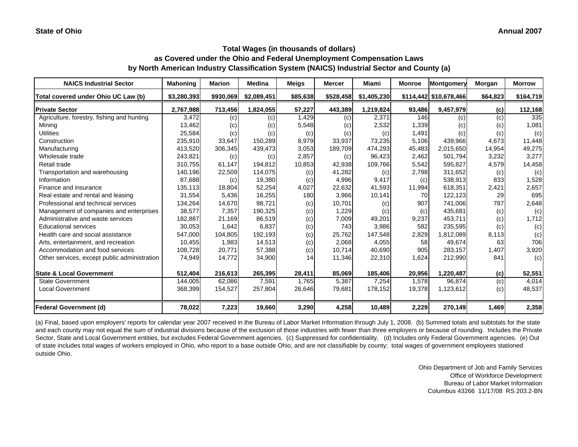# **Total Wages (in thousands of dollars) as Covered under the Ohio and Federal Unemployment Compensation Laws**

**by North American Industry Classification System (NAICS) Industrial Sector and County (a)**

| <b>NAICS Industrial Sector</b>               | <b>Mahoning</b> | <b>Marion</b> | <b>Medina</b> | Meigs    | <b>Mercer</b> | <b>Miami</b> | <b>Monroe</b> | Montgomery             | Morgan   | <b>Morrow</b> |
|----------------------------------------------|-----------------|---------------|---------------|----------|---------------|--------------|---------------|------------------------|----------|---------------|
| Total covered under Ohio UC Law (b)          | \$3,280,393     | \$930,069     | \$2,089,451   | \$85,638 | \$528,458     | \$1,405,230  |               | \$114,442 \$10,678,466 | \$64,823 | \$164,719     |
| <b>Private Sector</b>                        | 2,767,988       | 713,456       | 1,824,055     | 57,227   | 443,389       | 1,219,824    | 93,486        | 9,457,979              | (c)      | 112,168       |
| Agriculture, forestry, fishing and hunting   | 3,472           | (c)           | (c)           | 1,429    | (c)           | 2,371        | 146           | (c)                    | (c)      | 335           |
| Minina                                       | 13,462          | (c)           | (c)           | 5,548    | (c)           | 2,532        | 1,339         | (c)                    | (c)      | 1,081         |
| <b>Utilities</b>                             | 25,584          | (c)           | (c)           | (c)      | (c)           | (c)          | 1,491         | (c)                    | (c)      | (c)           |
| Construction                                 | 235,910         | 33,647        | 150,289       | 8,979    | 33,937        | 73,235       | 5.106         | 439,966                | 4,673    | 11,448        |
| Manufacturing                                | 413,520         | 306,345       | 439,473       | 3,053    | 189,709       | 474,293      | 45,483        | 2,015,650              | 14,954   | 49,275        |
| Wholesale trade                              | 243,821         | (c)           | (c)           | 2,857    | (c)           | 96,423       | 2,462         | 501,794                | 3,232    | 3,277         |
| Retail trade                                 | 310,755         | 61,147        | 194,812       | 10,853   | 42,938        | 109,766      | 5,542         | 595,827                | 4,579    | 14,458        |
| Transportation and warehousing               | 140,196         | 22,509        | 114,075       | (c)      | 41,282        | (c)          | 2,798         | 311.652                | (c)      | (c)           |
| Information                                  | 87,688          | (c)           | 19,380        | (c)      | 4,996         | 9,417        | (c)           | 538,913                | 833      | 1,528         |
| Finance and insurance                        | 135,113         | 18,804        | 52,254        | 4,027    | 22,632        | 41,593       | 11,994        | 618.351                | 2,421    | 2,657         |
| Real estate and rental and leasing           | 31,554          | 5,436         | 16,255        | 180      | 3,966         | 10,141       | 70            | 122,123                | 29       | 695           |
| Professional and technical services          | 134,264         | 14,670        | 98,721        | (c)      | 10,701        | (c)          | 907           | 741,006                | 787      | 2,648         |
| Management of companies and enterprises      | 38,577          | 7,357         | 190,325       | (c)      | 1,229         | (c)          | (c)           | 435,681                | (c)      | (c)           |
| Administrative and waste services            | 182,887         | 21,169        | 86,519        | (c)      | 7,009         | 49,201       | 9,237         | 453,711                | (c)      | 1,712         |
| <b>Educational services</b>                  | 30,053          | 1,642         | 6,837         | (c)      | 743           | 3,986        | 582           | 235,595                | (c)      | (c)           |
| Health care and social assistance            | 547,000         | 104,805       | 192,193       | (c)      | 25,762        | 147,548      | 2,829         | 1,812,089              | 8,113    | (c)           |
| Arts, entertainment, and recreation          | 10,455          | 1,983         | 14,513        | (c)      | 2,068         | 4,055        | 58            | 49,674                 | 63       | 706           |
| Accommodation and food services              | 108,728         | 20,771        | 57,388        | (c)      | 10,714        | 40,690       | 905           | 283,157                | 1,407    | 3,920         |
| Other services, except public administration | 74,949          | 14,772        | 34,900        | 14       | 11,346        | 22,310       | 1,624         | 212,990                | 841      | (c)           |
| <b>State &amp; Local Government</b>          | 512,404         | 216,613       | 265,395       | 28,411   | 85,069        | 185,406      | 20,956        | 1,220,487              | (c)      | 52,551        |
| <b>State Government</b>                      | 144,005         | 62,086        | 7,591         | 1,765    | 5,387         | 7,254        | 1,578         | 96,874                 | (c)      | 4,014         |
| <b>Local Government</b>                      | 368,399         | 154,527       | 257,804       | 26,646   | 79,681        | 178,152      | 19,378        | 1,123,612              | (c)      | 48,537        |
| <b>Federal Government (d)</b>                | 78,022          | 7,223         | 19,660        | 3,290    | 4,258         | 10,489       | 2,229         | 270,149                | 1,469    | 2,358         |

(a) Final, based upon employers' reports for calendar year 2007 received in the Bureau of Labor Market Information through July 1, 2008. (b) Summed totals and subtotals for the state and each county may not equal the sum of industrial divisions because of the exclusion of those industries with fewer than three employers or because of rounding. Includes the Private Sector, State and Local Government entities, but excludes Federal Government agencies. (c) Suppressed for confidentiality. (d) Includes only Federal Government agencies. (e) Out of state includes total wages of workers employed in Ohio, who report to a base outside Ohio, and are not classifiable by county; total wages of government employees stationed outside Ohio.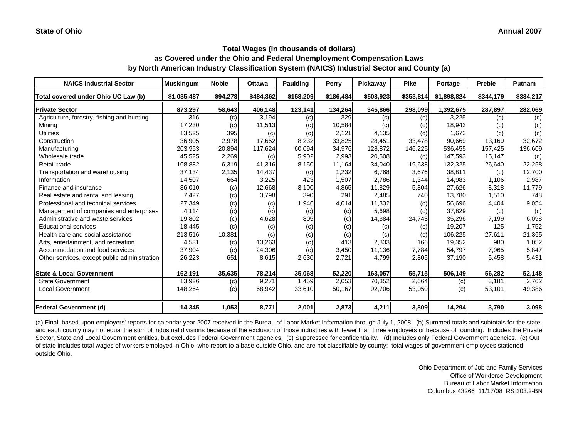| <b>NAICS Industrial Sector</b>               | <b>Muskingum</b> | <b>Noble</b> | <b>Ottawa</b> | Paulding  | Perry     | Pickaway  | <b>Pike</b> | Portage     | <b>Preble</b> | <b>Putnam</b> |
|----------------------------------------------|------------------|--------------|---------------|-----------|-----------|-----------|-------------|-------------|---------------|---------------|
| Total covered under Ohio UC Law (b)          | \$1,035,487      | \$94,278     | \$484,362     | \$158,209 | \$186,484 | \$508,923 | \$353,814   | \$1,898,824 | \$344,179     | \$334,217     |
| <b>Private Sector</b>                        | 873,297          | 58,643       | 406,148       | 123,141   | 134,264   | 345,866   | 298,099     | 1,392,675   | 287,897       | 282,069       |
| Agriculture, forestry, fishing and hunting   | 316              | (c)          | 3,194         | (c)       | 329       | (c)       | (c)         | 3,225       | (c)           | (c)           |
| Mining                                       | 17,230           | (c)          | 11,513        | (c)       | 10,584    | (c)       | (c)         | 18,943      | (c)           | (c)           |
| <b>Utilities</b>                             | 13,525           | 395          | (c)           | (c)       | 2,121     | 4,135     | (c)         | 1,673       | (c)           | (c)           |
| Construction                                 | 36,905           | 2,978        | 17,652        | 8,232     | 33,825    | 28,451    | 33,478      | 90.669      | 13.169        | 32,672        |
| Manufacturing                                | 203,953          | 20,894       | 117,624       | 60,094    | 34,976    | 128,872   | 146,225     | 536,455     | 157,425       | 136,609       |
| Wholesale trade                              | 45,525           | 2,269        | (c)           | 5,902     | 2,993     | 20,508    | (c)         | 147,593     | 15,147        | (c)           |
| Retail trade                                 | 108,882          | 6,319        | 41,316        | 8,150     | 11,164    | 34,040    | 19,638      | 132,325     | 26,640        | 22,258        |
| Transportation and warehousing               | 37,134           | 2,135        | 14,437        | (c)       | 1,232     | 6,768     | 3,676       | 38,811      | (c)           | 12,700        |
| Information                                  | 14,507           | 664          | 3,225         | 423       | 1,507     | 2,786     | 1,344       | 14,983      | 1,106         | 2,987         |
| Finance and insurance                        | 36,010           | (c)          | 12,668        | 3,100     | 4,865     | 11,829    | 5,804       | 27,626      | 8,318         | 11,779        |
| Real estate and rental and leasing           | 7,427            | (c)          | 3,798         | 390       | 291       | 2,485     | 740         | 13,780      | 1,510         | 748           |
| Professional and technical services          | 27,349           | (c)          | (c)           | 1,946     | 4,014     | 11,332    | (c)         | 56,696      | 4,404         | 9,054         |
| Management of companies and enterprises      | 4,114            | (c)          | (c)           | (c)       | (c)       | 5,698     | (c)         | 37,829      | (c)           | (c)           |
| Administrative and waste services            | 19,802           | (c)          | 4,628         | 805       | (c)       | 14,384    | 24,743      | 35,296      | 7,199         | 6,098         |
| <b>Educational services</b>                  | 18,445           | (c)          | (c)           | (c)       | (c)       | (c)       | (c)         | 19,207      | 125           | 1,752         |
| Health care and social assistance            | 213,516          | 10,381       | (c)           | (c)       | (c)       | (c)       | (c)         | 106,225     | 27,611        | 21,365        |
| Arts, entertainment, and recreation          | 4,531            | (c)          | 13,263        | (c)       | 413       | 2,833     | 166         | 19,352      | 980           | 1,052         |
| Accommodation and food services              | 37,904           | (c)          | 24,306        | (c)       | 3,450     | 11,136    | 7,784       | 54,797      | 7,965         | 5,847         |
| Other services, except public administration | 26,223           | 651          | 8,615         | 2,630     | 2,721     | 4,799     | 2,805       | 37,190      | 5,458         | 5,431         |
| <b>State &amp; Local Government</b>          | 162,191          | 35,635       | 78,214        | 35,068    | 52,220    | 163,057   | 55,715      | 506,149     | 56,282        | 52,148        |
| <b>State Government</b>                      | 13,926           | (c)          | 9,271         | 1,459     | 2,053     | 70,352    | 2,664       | (c)         | 3,181         | 2.762         |
| <b>Local Government</b>                      | 148,264          | (c)          | 68,942        | 33,610    | 50,167    | 92,706    | 53,050      | (c)         | 53,101        | 49,386        |
| <b>Federal Government (d)</b>                | 14,345           | 1,053        | 8,771         | 2,001     | 2,873     | 4,211     | 3,809       | 14,294      | 3,790         | 3,098         |

(a) Final, based upon employers' reports for calendar year 2007 received in the Bureau of Labor Market Information through July 1, 2008. (b) Summed totals and subtotals for the state and each county may not equal the sum of industrial divisions because of the exclusion of those industries with fewer than three employers or because of rounding. Includes the Private Sector, State and Local Government entities, but excludes Federal Government agencies. (c) Suppressed for confidentiality. (d) Includes only Federal Government agencies. (e) Out of state includes total wages of workers employed in Ohio, who report to a base outside Ohio, and are not classifiable by county; total wages of government employees stationed outside Ohio.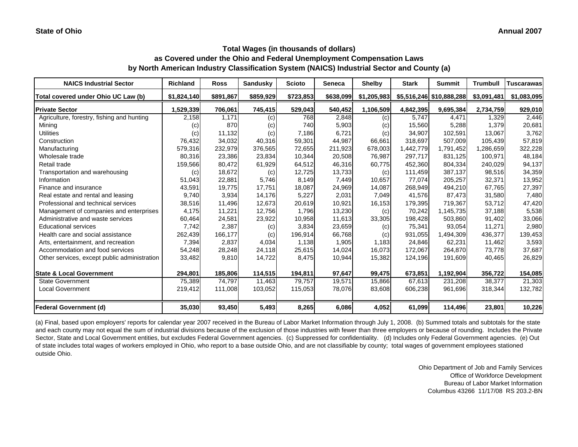# **Total Wages (in thousands of dollars)**

**as Covered under the Ohio and Federal Unemployment Compensation Laws by North American Industry Classification System (NAICS) Industrial Sector and County (a)**

| <b>NAICS Industrial Sector</b>               | <b>Richland</b> | <b>Ross</b> | Sandusky  | <b>Scioto</b> | Seneca    | <b>Shelby</b> | <b>Stark</b> | <b>Summit</b>            | <b>Trumbull</b> | <b>Tuscarawas</b> |
|----------------------------------------------|-----------------|-------------|-----------|---------------|-----------|---------------|--------------|--------------------------|-----------------|-------------------|
| Total covered under Ohio UC Law (b)          | \$1,824,140     | \$891,867   | \$859,929 | \$723,853     | \$638,099 | \$1,205,983   |              | \$5,516,246 \$10,888,288 | \$3,091,481     | \$1,083,095       |
| <b>Private Sector</b>                        | 1,529,339       | 706,061     | 745,415   | 529,043       | 540,452   | 1,106,509     | 4,842,395    | 9,695,384                | 2,734,759       | 929,010           |
| Agriculture, forestry, fishing and hunting   | 2,158           | 1.171       | (c)       | 768           | 2,848     | (c)           | 5.747        | 4,471                    | 1.329           | 2,446             |
| Mining                                       | (c)             | 870         | (c)       | 740           | 5,903     | (c)           | 15,560       | 5,288                    | 1.379           | 20,681            |
| <b>Utilities</b>                             | (c)             | 11,132      | (c)       | 7,186         | 6,721     | (c)           | 34,907       | 102,591                  | 13,067          | 3,762             |
| Construction                                 | 76,432          | 34,032      | 40.316    | 59,301        | 44,987    | 66,661        | 318.697      | 507.009                  | 105.439         | 57,819            |
| Manufacturing                                | 579,316         | 232,979     | 376,565   | 72,655        | 211,923   | 678,003       | 1,442,779    | 1,791,452                | 1,286,659       | 322,228           |
| Wholesale trade                              | 80,316          | 23,386      | 23,834    | 10,344        | 20,508    | 76,987        | 297,717      | 831,125                  | 100,971         | 48,184            |
| Retail trade                                 | 159,566         | 80,472      | 61,929    | 64,512        | 46,316    | 60,775        | 452,360      | 804,334                  | 240,029         | 94,137            |
| Transportation and warehousing               | (c)             | 18,672      | (c)       | 12,725        | 13,733    | (c)           | 111,459      | 387,137                  | 98,516          | 34,359            |
| Information                                  | 51,043          | 22,881      | 5,746     | 8,149         | 7,449     | 10,657        | 77,074       | 205,257                  | 32,371          | 13,952            |
| Finance and insurance                        | 43,591          | 19,775      | 17,751    | 18,087        | 24,969    | 14,087        | 268,949      | 494,210                  | 67,765          | 27,397            |
| Real estate and rental and leasing           | 9,740           | 3,934       | 14,176    | 5,227         | 2,031     | 7,049         | 41,576       | 87,473                   | 31,580          | 7,480             |
| Professional and technical services          | 38,516          | 11,496      | 12,673    | 20,619        | 10,921    | 16,153        | 179,395      | 719,367                  | 53,712          | 47,420            |
| Management of companies and enterprises      | 4,175           | 11,221      | 12,756    | 1,796         | 13,230    | (c)           | 70,242       | 1,145,735                | 37,188          | 5,538             |
| Administrative and waste services            | 60,464          | 24,581      | 23,922    | 10,958        | 11,613    | 33,305        | 198,428      | 503,860                  | 91,402          | 33,066            |
| <b>Educational services</b>                  | 7,742           | 2,387       | (c)       | 3,834         | 23,659    | (c)           | 75,341       | 93,054                   | 11,271          | 2,980             |
| Health care and social assistance            | 262,439         | 166,177     | (c)       | 196,914       | 66,768    | (c)           | 931,055      | 1,494,309                | 436,377         | 139,453           |
| Arts, entertainment, and recreation          | 7,394           | 2,837       | 4,034     | 1,138         | 1,905     | 1,183         | 24,846       | 62,231                   | 11,462          | 3,593             |
| Accommodation and food services              | 54,248          | 28,248      | 24,118    | 25,615        | 14,024    | 16,073        | 172,067      | 264,870                  | 73.778          | 37,687            |
| Other services, except public administration | 33,482          | 9,810       | 14,722    | 8,475         | 10,944    | 15,382        | 124,196      | 191,609                  | 40,465          | 26,829            |
| <b>State &amp; Local Government</b>          | 294,801         | 185,806     | 114,515   | 194,811       | 97,647    | 99,475        | 673,851      | 1,192,904                | 356,722         | 154,085           |
| <b>State Government</b>                      | 75,389          | 74,797      | 11,463    | 79,757        | 19,571    | 15,866        | 67,613       | 231,208                  | 38,377          | 21,303            |
| <b>Local Government</b>                      | 219,412         | 111,008     | 103,052   | 115,053       | 78,076    | 83,608        | 606,238      | 961,696                  | 318,344         | 132,782           |
| <b>Federal Government (d)</b>                | 35,030          | 93,450      | 5,493     | 8,265         | 6,086     | 4,052         | 61,099       | 114,496                  | 23,801          | 10,226            |

(a) Final, based upon employers' reports for calendar year 2007 received in the Bureau of Labor Market Information through July 1, 2008. (b) Summed totals and subtotals for the state and each county may not equal the sum of industrial divisions because of the exclusion of those industries with fewer than three employers or because of rounding. Includes the Private Sector, State and Local Government entities, but excludes Federal Government agencies. (c) Suppressed for confidentiality. (d) Includes only Federal Government agencies. (e) Out of state includes total wages of workers employed in Ohio, who report to a base outside Ohio, and are not classifiable by county; total wages of government employees stationed outside Ohio.